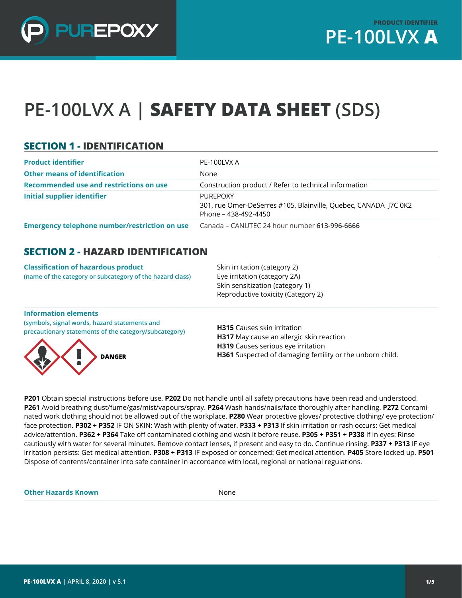

# **PE-100LVX A | SAFETY DATA SHEET (SDS)**

### **SECTION 1 - IDENTIFICATION**

| <b>Product identifier</b>                     | PE-100LVX A                                                                                                |
|-----------------------------------------------|------------------------------------------------------------------------------------------------------------|
| <b>Other means of identification</b>          | None                                                                                                       |
| Recommended use and restrictions on use       | Construction product / Refer to technical information                                                      |
| Initial supplier identifier                   | <b>PUREPOXY</b><br>301, rue Omer-DeSerres #105, Blainville, Quebec, CANADA J7C 0K2<br>Phone - 438-492-4450 |
| Emergency telephone number/restriction on use | Canada - CANUTEC 24 hour number 613-996-6666                                                               |

#### **SECTION 2 - HAZARD IDENTIFICATION**

| <b>Classification of hazardous product</b><br>(name of the category or subcategory of the hazard class) | Skin irritation (category 2)<br>Eye irritation (category 2A)<br>Skin sensitization (category 1)<br>Reproductive toxicity (Category 2) |
|---------------------------------------------------------------------------------------------------------|---------------------------------------------------------------------------------------------------------------------------------------|
| <b>Information elements</b>                                                                             |                                                                                                                                       |

**(symbols, signal words, hazard statements and precautionary statements of the category/subcategory)**



**H315** Causes skin irritation **H317** May cause an allergic skin reaction **H319** Causes serious eye irritation **H361** Suspected of damaging fertility or the unborn child.

**P201** Obtain special instructions before use. **P202** Do not handle until all safety precautions have been read and understood. **P261** Avoid breathing dust/fume/gas/mist/vapours/spray. **P264** Wash hands/nails/face thoroughly after handling. **P272** Contaminated work clothing should not be allowed out of the workplace. **P280** Wear protective gloves/ protective clothing/ eye protection/ face protection. **P302 + P352** IF ON SKIN: Wash with plenty of water. **P333 + P313** If skin irritation or rash occurs: Get medical advice/attention. **P362 + P364** Take off contaminated clothing and wash it before reuse. **P305 + P351 + P338** If in eyes: Rinse cautiously with water for several minutes. Remove contact lenses, if present and easy to do. Continue rinsing. **P337 + P313** IF eye irritation persists: Get medical attention. **P308 + P313** IF exposed or concerned: Get medical attention. **P405** Store locked up. **P501** Dispose of contents/container into safe container in accordance with local, regional or national regulations.

**Other Hazards Known** None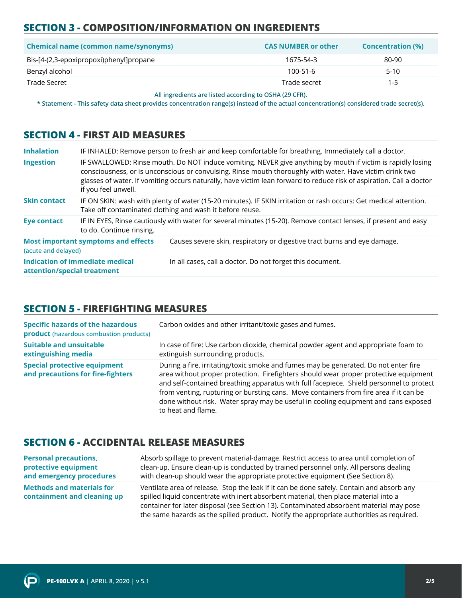# **SECTION 3 - COMPOSITION/INFORMATION ON INGREDIENTS**

| <b>Chemical name (common name/synonyms)</b> | <b>CAS NUMBER or other</b> | <b>Concentration (%)</b> |
|---------------------------------------------|----------------------------|--------------------------|
| Bis-[4-(2,3-epoxipropoxi)phenyl]propane     | 1675-54-3                  | 80-90                    |
| Benzyl alcohol                              | $100 - 51 - 6$             | $5-10$                   |
| Trade Secret                                | Trade secret               | $1 - 5$                  |

**All ingredients are listed according to OSHA (29 CFR).**

**\* Statement - This safety data sheet provides concentration range(s) instead of the actual concentration(s) considered trade secret(s).**

#### **SECTION 4 - FIRST AID MEASURES**

| <b>Inhalation</b>           |                                            | IF INHALED: Remove person to fresh air and keep comfortable for breathing. Immediately call a doctor.                                                                                                                                                                                                                                           |
|-----------------------------|--------------------------------------------|-------------------------------------------------------------------------------------------------------------------------------------------------------------------------------------------------------------------------------------------------------------------------------------------------------------------------------------------------|
| <b>Ingestion</b>            | if you feel unwell.                        | IF SWALLOWED: Rinse mouth. Do NOT induce vomiting. NEVER give anything by mouth if victim is rapidly losing<br>consciousness, or is unconscious or convulsing. Rinse mouth thoroughly with water. Have victim drink two<br>glasses of water. If vomiting occurs naturally, have victim lean forward to reduce risk of aspiration. Call a doctor |
| <b>Skin contact</b>         |                                            | IF ON SKIN: wash with plenty of water (15-20 minutes). IF SKIN irritation or rash occurs: Get medical attention.<br>Take off contaminated clothing and wash it before reuse.                                                                                                                                                                    |
| <b>Eye contact</b>          | to do. Continue rinsing.                   | IF IN EYES, Rinse cautiously with water for several minutes (15-20). Remove contact lenses, if present and easy                                                                                                                                                                                                                                 |
| (acute and delayed)         | <b>Most important symptoms and effects</b> | Causes severe skin, respiratory or digestive tract burns and eye damage.                                                                                                                                                                                                                                                                        |
| attention/special treatment | Indication of immediate medical            | In all cases, call a doctor. Do not forget this document.                                                                                                                                                                                                                                                                                       |

## **SECTION 5 - FIREFIGHTING MEASURES**

| <b>Specific hazards of the hazardous</b><br><b>product</b> (hazardous combustion products) | Carbon oxides and other irritant/toxic gases and fumes.                                                                                                                                                                                                                                                                                                                                                                                                                     |
|--------------------------------------------------------------------------------------------|-----------------------------------------------------------------------------------------------------------------------------------------------------------------------------------------------------------------------------------------------------------------------------------------------------------------------------------------------------------------------------------------------------------------------------------------------------------------------------|
| <b>Suitable and unsuitable</b><br>extinguishing media                                      | In case of fire: Use carbon dioxide, chemical powder agent and appropriate foam to<br>extinguish surrounding products.                                                                                                                                                                                                                                                                                                                                                      |
| <b>Special protective equipment</b><br>and precautions for fire-fighters                   | During a fire, irritating/toxic smoke and fumes may be generated. Do not enter fire<br>area without proper protection. Firefighters should wear proper protective equipment<br>and self-contained breathing apparatus with full facepiece. Shield personnel to protect<br>from venting, rupturing or bursting cans. Move containers from fire area if it can be<br>done without risk. Water spray may be useful in cooling equipment and cans exposed<br>to heat and flame. |

#### **SECTION 6 - ACCIDENTAL RELEASE MEASURES**

| <b>Personal precautions,</b>                                    | Absorb spillage to prevent material-damage. Restrict access to area until completion of                                                                                                                                                                                                                                                                                  |
|-----------------------------------------------------------------|--------------------------------------------------------------------------------------------------------------------------------------------------------------------------------------------------------------------------------------------------------------------------------------------------------------------------------------------------------------------------|
| protective equipment                                            | clean-up. Ensure clean-up is conducted by trained personnel only. All persons dealing                                                                                                                                                                                                                                                                                    |
| and emergency procedures                                        | with clean-up should wear the appropriate protective equipment (See Section 8).                                                                                                                                                                                                                                                                                          |
| <b>Methods and materials for</b><br>containment and cleaning up | Ventilate area of release. Stop the leak if it can be done safely. Contain and absorb any<br>spilled liquid concentrate with inert absorbent material, then place material into a<br>container for later disposal (see Section 13). Contaminated absorbent material may pose<br>the same hazards as the spilled product. Notify the appropriate authorities as required. |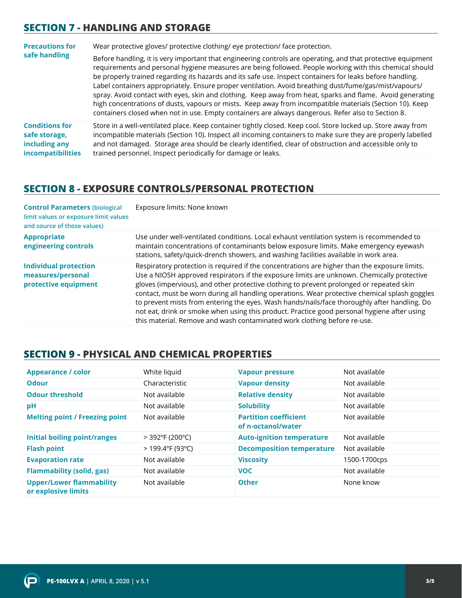#### **SECTION 7 - HANDLING AND STORAGE**

| <b>Precautions for</b>                                                              | Wear protective gloves/ protective clothing/ eye protection/ face protection.                                                                                                                                                                                                                                                                                                                                                                                                                                                                                                                                                                                                                                                                                                  |  |
|-------------------------------------------------------------------------------------|--------------------------------------------------------------------------------------------------------------------------------------------------------------------------------------------------------------------------------------------------------------------------------------------------------------------------------------------------------------------------------------------------------------------------------------------------------------------------------------------------------------------------------------------------------------------------------------------------------------------------------------------------------------------------------------------------------------------------------------------------------------------------------|--|
| safe handling                                                                       | Before handling, it is very important that engineering controls are operating, and that protective equipment<br>requirements and personal hygiene measures are being followed. People working with this chemical should<br>be properly trained regarding its hazards and its safe use. Inspect containers for leaks before handling.<br>Label containers appropriately. Ensure proper ventilation. Avoid breathing dust/fume/gas/mist/vapours/<br>spray. Avoid contact with eyes, skin and clothing. Keep away from heat, sparks and flame. Avoid generating<br>high concentrations of dusts, vapours or mists. Keep away from incompatible materials (Section 10). Keep<br>containers closed when not in use. Empty containers are always dangerous. Refer also to Section 8. |  |
| <b>Conditions for</b><br>safe storage,<br>including any<br><b>incompatibilities</b> | Store in a well-ventilated place. Keep container tightly closed. Keep cool. Store locked up. Store away from<br>incompatible materials (Section 10). Inspect all incoming containers to make sure they are properly labelled<br>and not damaged. Storage area should be clearly identified, clear of obstruction and accessible only to<br>trained personnel. Inspect periodically for damage or leaks.                                                                                                                                                                                                                                                                                                                                                                        |  |

#### **SECTION 8 - EXPOSURE CONTROLS/PERSONAL PROTECTION**

| <b>Control Parameters (biological</b><br>limit values or exposure limit values<br>and source of those values) | Exposure limits: None known                                                                                                                                                                                                                                                                                                                                                                                                                                                                                                                                                                                                                                         |
|---------------------------------------------------------------------------------------------------------------|---------------------------------------------------------------------------------------------------------------------------------------------------------------------------------------------------------------------------------------------------------------------------------------------------------------------------------------------------------------------------------------------------------------------------------------------------------------------------------------------------------------------------------------------------------------------------------------------------------------------------------------------------------------------|
| <b>Appropriate</b><br>engineering controls                                                                    | Use under well-ventilated conditions. Local exhaust ventilation system is recommended to<br>maintain concentrations of contaminants below exposure limits. Make emergency eyewash<br>stations, safety/quick-drench showers, and washing facilities available in work area.                                                                                                                                                                                                                                                                                                                                                                                          |
| <b>Individual protection</b><br>measures/personal<br>protective equipment                                     | Respiratory protection is required if the concentrations are higher than the exposure limits.<br>Use a NIOSH approved respirators if the exposure limits are unknown. Chemically protective<br>gloves (impervious), and other protective clothing to prevent prolonged or repeated skin<br>contact, must be worn during all handling operations. Wear protective chemical splash goggles<br>to prevent mists from entering the eyes. Wash hands/nails/face thoroughly after handling. Do<br>not eat, drink or smoke when using this product. Practice good personal hygiene after using<br>this material. Remove and wash contaminated work clothing before re-use. |

#### **SECTION 9 - PHYSICAL AND CHEMICAL PROPERTIES**

| <b>Appearance / color</b>                              | White liquid       | <b>Vapour pressure</b>                             | Not available |
|--------------------------------------------------------|--------------------|----------------------------------------------------|---------------|
| <b>Odour</b>                                           | Characteristic     | <b>Vapour density</b>                              | Not available |
| <b>Odour threshold</b>                                 | Not available      | <b>Relative density</b>                            | Not available |
| рH                                                     | Not available      | <b>Solubility</b>                                  | Not available |
| <b>Melting point / Freezing point</b>                  | Not available      | <b>Partition coefficient</b><br>of n-octanol/water | Not available |
| <b>Initial boiling point/ranges</b>                    | $>$ 392°F (200°C)  | <b>Auto-ignition temperature</b>                   | Not available |
| <b>Flash point</b>                                     | $>$ 199.4°F (93°C) | <b>Decomposition temperature</b>                   | Not available |
| <b>Evaporation rate</b>                                | Not available      | <b>Viscosity</b>                                   | 1500-1700cps  |
| <b>Flammability (solid, gas)</b>                       | Not available      | <b>VOC</b>                                         | Not available |
| <b>Upper/Lower flammability</b><br>or explosive limits | Not available      | <b>Other</b>                                       | None know     |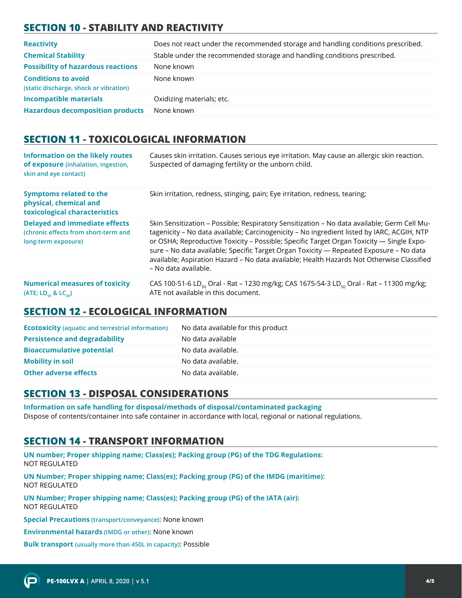# **SECTION 10 - STABILITY AND REACTIVITY**

| <b>Reactivity</b>                                                    | Does not react under the recommended storage and handling conditions prescribed. |
|----------------------------------------------------------------------|----------------------------------------------------------------------------------|
| <b>Chemical Stability</b>                                            | Stable under the recommended storage and handling conditions prescribed.         |
| <b>Possibility of hazardous reactions</b>                            | None known                                                                       |
| <b>Conditions to avoid</b><br>(static discharge, shock or vibration) | None known                                                                       |
| <b>Incompatible materials</b>                                        | Oxidizing materials; etc.                                                        |
| <b>Hazardous decomposition products</b>                              | None known                                                                       |

### **SECTION 11 - TOXICOLOGICAL INFORMATION**

| <b>Information on the likely routes</b><br>of exposure (inhalation, ingestion,<br>skin and eye contact) | Causes skin irritation. Causes serious eye irritation. May cause an allergic skin reaction.<br>Suspected of damaging fertility or the unborn child.                                                                                                                                                                                                                                                                                                                                                  |
|---------------------------------------------------------------------------------------------------------|------------------------------------------------------------------------------------------------------------------------------------------------------------------------------------------------------------------------------------------------------------------------------------------------------------------------------------------------------------------------------------------------------------------------------------------------------------------------------------------------------|
| <b>Symptoms related to the</b><br>physical, chemical and<br>toxicological characteristics               | Skin irritation, redness, stinging, pain; Eye irritation, redness, tearing;                                                                                                                                                                                                                                                                                                                                                                                                                          |
| <b>Delayed and immediate effects</b><br>(chronic effects from short-term and<br>long-term exposure)     | Skin Sensitization - Possible; Respiratory Sensitization - No data available; Germ Cell Mu-<br>tagenicity - No data available; Carcinogenicity - No ingredient listed by IARC, ACGIH, NTP<br>or OSHA; Reproductive Toxicity - Possible; Specific Target Organ Toxicity - Single Expo-<br>sure - No data available; Specific Target Organ Toxicity - Repeated Exposure - No data<br>available; Aspiration Hazard - No data available; Health Hazards Not Otherwise Classified<br>- No data available. |
| <b>Numerical measures of toxicity</b><br>(ATE; $LD_{50}$ & $LC_{50}$ )                                  | CAS 100-51-6 LD <sub>so</sub> Oral - Rat – 1230 mg/kg; CAS 1675-54-3 LD <sub>so</sub> Oral - Rat – 11300 mg/kg;<br>ATE not available in this document.                                                                                                                                                                                                                                                                                                                                               |

#### **SECTION 12 - ECOLOGICAL INFORMATION**

| <b>Ecotoxicity</b> (aquatic and terrestrial information) | No data available for this product |
|----------------------------------------------------------|------------------------------------|
| <b>Persistence and degradability</b>                     | No data available                  |
| <b>Bioaccumulative potential</b>                         | No data available.                 |
| <b>Mobility in soil</b>                                  | No data available.                 |
| <b>Other adverse effects</b>                             | No data available.                 |
|                                                          |                                    |

## **SECTION 13 - DISPOSAL CONSIDERATIONS**

**Information on safe handling for disposal/methods of disposal/contaminated packaging**  Dispose of contents/container into safe container in accordance with local, regional or national regulations.

#### **SECTION 14 - TRANSPORT INFORMATION**

**UN number; Proper shipping name; Class(es); Packing group (PG) of the TDG Regulations:** NOT REGULATED

**UN Number; Proper shipping name; Class(es); Packing group (PG) of the IMDG (maritime):** NOT REGULATED

**UN Number; Proper shipping name; Class(es); Packing group (PG) of the IATA (air):** NOT REGULATED

**Special Precautions (transport/conveyance):** None known

**Environmental hazards (IMDG or other):** None known

**Bulk transport (usually more than 450L in capacity):** Possible